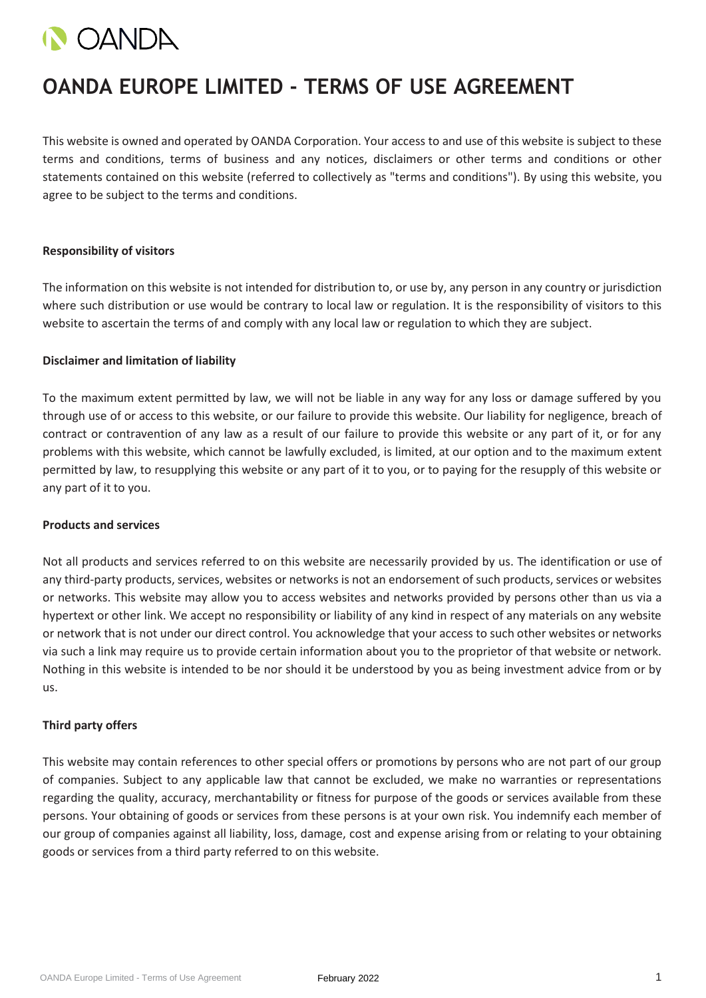

# **OANDA EUROPE LIMITED - TERMS OF USE AGREEMENT**

This website is owned and operated by OANDA Corporation. Your access to and use of this website is subject to these terms and conditions, terms of business and any notices, disclaimers or other terms and conditions or other statements contained on this website (referred to collectively as "terms and conditions"). By using this website, you agree to be subject to the terms and conditions.

#### **Responsibility of visitors**

The information on this website is not intended for distribution to, or use by, any person in any country or jurisdiction where such distribution or use would be contrary to local law or regulation. It is the responsibility of visitors to this website to ascertain the terms of and comply with any local law or regulation to which they are subject.

#### **Disclaimer and limitation of liability**

To the maximum extent permitted by law, we will not be liable in any way for any loss or damage suffered by you through use of or access to this website, or our failure to provide this website. Our liability for negligence, breach of contract or contravention of any law as a result of our failure to provide this website or any part of it, or for any problems with this website, which cannot be lawfully excluded, is limited, at our option and to the maximum extent permitted by law, to resupplying this website or any part of it to you, or to paying for the resupply of this website or any part of it to you.

#### **Products and services**

Not all products and services referred to on this website are necessarily provided by us. The identification or use of any third-party products, services, websites or networks is not an endorsement of such products, services or websites or networks. This website may allow you to access websites and networks provided by persons other than us via a hypertext or other link. We accept no responsibility or liability of any kind in respect of any materials on any website or network that is not under our direct control. You acknowledge that your access to such other websites or networks via such a link may require us to provide certain information about you to the proprietor of that website or network. Nothing in this website is intended to be nor should it be understood by you as being investment advice from or by us.

# **Third party offers**

This website may contain references to other special offers or promotions by persons who are not part of our group of companies. Subject to any applicable law that cannot be excluded, we make no warranties or representations regarding the quality, accuracy, merchantability or fitness for purpose of the goods or services available from these persons. Your obtaining of goods or services from these persons is at your own risk. You indemnify each member of our group of companies against all liability, loss, damage, cost and expense arising from or relating to your obtaining goods or services from a third party referred to on this website.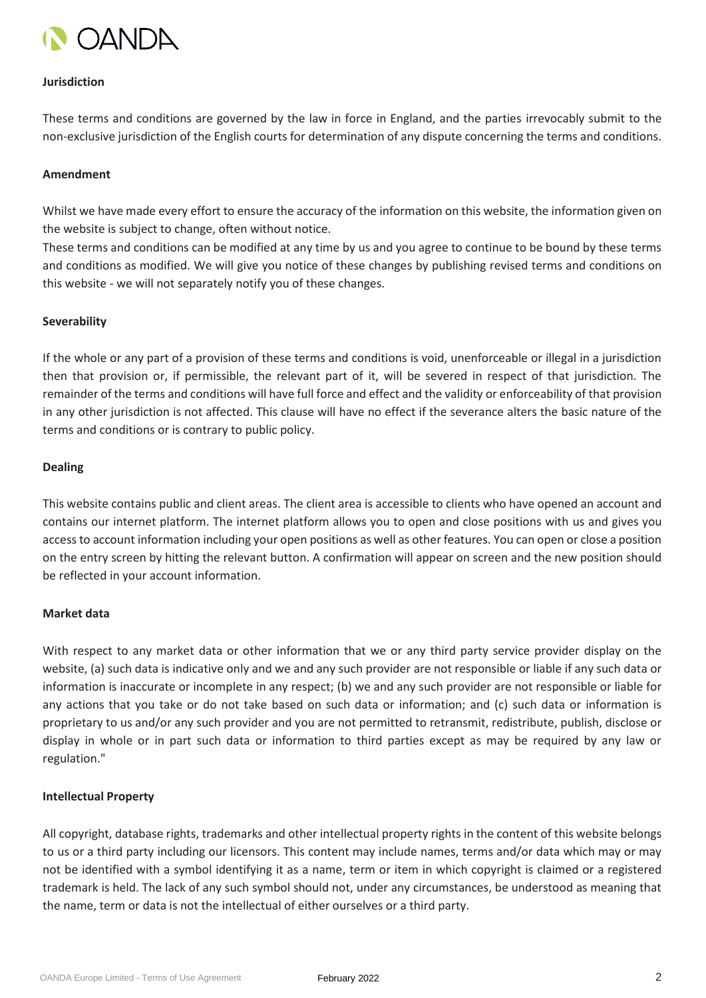

#### **Jurisdiction**

These terms and conditions are governed by the law in force in England, and the parties irrevocably submit to the non-exclusive jurisdiction of the English courts for determination of any dispute concerning the terms and conditions.

### **Amendment**

Whilst we have made every effort to ensure the accuracy of the information on this website, the information given on the website is subject to change, often without notice.

These terms and conditions can be modified at any time by us and you agree to continue to be bound by these terms and conditions as modified. We will give you notice of these changes by publishing revised terms and conditions on this website - we will not separately notify you of these changes.

#### **Severability**

If the whole or any part of a provision of these terms and conditions is void, unenforceable or illegal in a jurisdiction then that provision or, if permissible, the relevant part of it, will be severed in respect of that jurisdiction. The remainder of the terms and conditions will have full force and effect and the validity or enforceability of that provision in any other jurisdiction is not affected. This clause will have no effect if the severance alters the basic nature of the terms and conditions or is contrary to public policy.

#### **Dealing**

This website contains public and client areas. The client area is accessible to clients who have opened an account and contains our internet platform. The internet platform allows you to open and close positions with us and gives you access to account information including your open positions as well as other features. You can open or close a position on the entry screen by hitting the relevant button. A confirmation will appear on screen and the new position should be reflected in your account information.

#### **Market data**

With respect to any market data or other information that we or any third party service provider display on the website, (a) such data is indicative only and we and any such provider are not responsible or liable if any such data or information is inaccurate or incomplete in any respect; (b) we and any such provider are not responsible or liable for any actions that you take or do not take based on such data or information; and (c) such data or information is proprietary to us and/or any such provider and you are not permitted to retransmit, redistribute, publish, disclose or display in whole or in part such data or information to third parties except as may be required by any law or regulation."

#### **Intellectual Property**

All copyright, database rights, trademarks and other intellectual property rights in the content of this website belongs to us or a third party including our licensors. This content may include names, terms and/or data which may or may not be identified with a symbol identifying it as a name, term or item in which copyright is claimed or a registered trademark is held. The lack of any such symbol should not, under any circumstances, be understood as meaning that the name, term or data is not the intellectual of either ourselves or a third party.